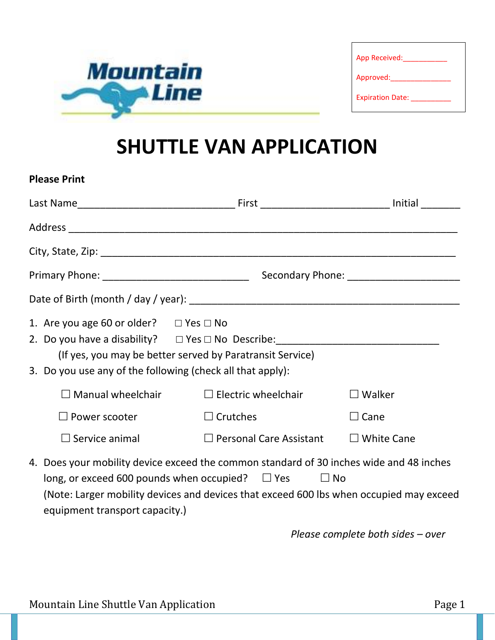

| App Received:           |  |
|-------------------------|--|
| Approved:               |  |
| <b>Expiration Date:</b> |  |

## **SHUTTLE VAN APPLICATION**

| <b>Please Print</b>                                                                                                                                                                                                                                                                    |                                |                   |
|----------------------------------------------------------------------------------------------------------------------------------------------------------------------------------------------------------------------------------------------------------------------------------------|--------------------------------|-------------------|
|                                                                                                                                                                                                                                                                                        |                                |                   |
|                                                                                                                                                                                                                                                                                        |                                |                   |
|                                                                                                                                                                                                                                                                                        |                                |                   |
|                                                                                                                                                                                                                                                                                        |                                |                   |
|                                                                                                                                                                                                                                                                                        |                                |                   |
| 1. Are you age 60 or older? $\Box$ Yes $\Box$ No<br>2. Do you have a disability?  □ Yes □ No Describe: _____________________________<br>(If yes, you may be better served by Paratransit Service)<br>3. Do you use any of the following (check all that apply):                        |                                |                   |
| $\square$ Manual wheelchair                                                                                                                                                                                                                                                            | $\Box$ Electric wheelchair     | $\Box$ Walker     |
| $\Box$ Power scooter                                                                                                                                                                                                                                                                   | $\Box$ Crutches                | $\Box$ Cane       |
| $\Box$ Service animal                                                                                                                                                                                                                                                                  | $\Box$ Personal Care Assistant | $\Box$ White Cane |
| 4. Does your mobility device exceed the common standard of 30 inches wide and 48 inches<br>long, or exceed 600 pounds when occupied? $\Box$ Yes $\Box$ No<br>(Note: Larger mobility devices and devices that exceed 600 lbs when occupied may exceed<br>equipment transport capacity.) |                                |                   |

*Please complete both sides – over*